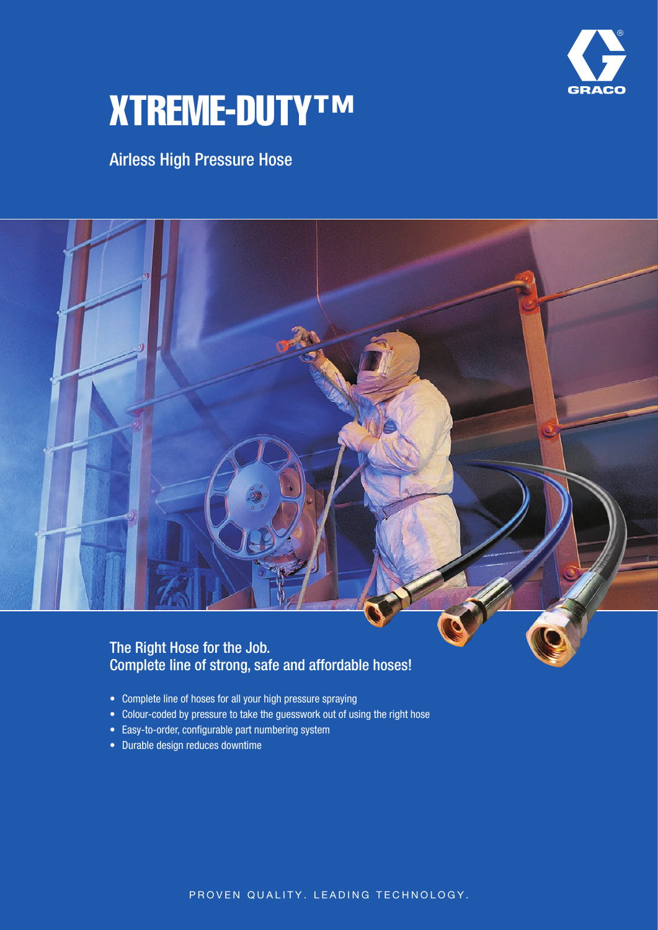

# XTREME-DUTY™

## Airless High Pressure Hose



#### The Right Hose for the Job. Complete line of strong, safe and affordable hoses!

- Complete line of hoses for all your high pressure spraying
- Colour-coded by pressure to take the guesswork out of using the right hose
- Easy-to-order, configurable part numbering system
- • Durable design reduces downtime

PROVEN QUALITY. LEADING TECHNOLOGY.